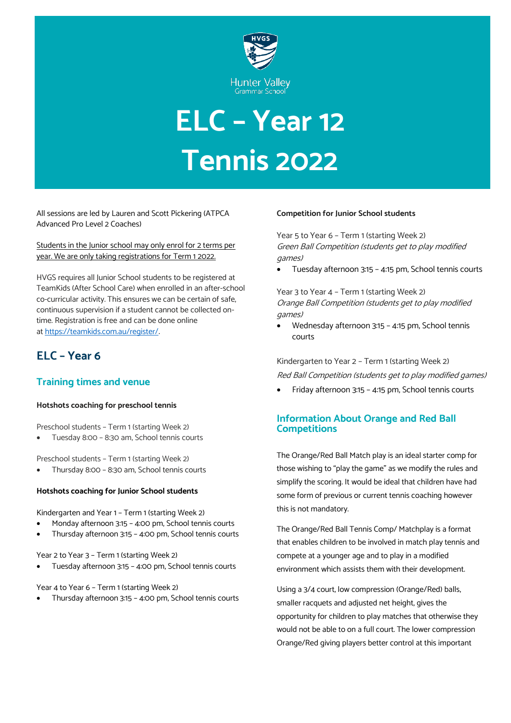

# **ELC – Year 12 Tennis 2022**

All sessions are led by Lauren and Scott Pickering (ATPCA Advanced Pro Level 2 Coaches)

Students in the Junior school may only enrol for 2 terms per year. We are only taking registrations for Term 1 2022.

HVGS requires all Junior School students to be registered at TeamKids (After School Care) when enrolled in an after-school co-curricular activity. This ensures we can be certain of safe, continuous supervision if a student cannot be collected ontime. Registration is free and can be done online at <https://teamkids.com.au/register/>.

# **ELC – Year 6**

## **Training times and venue**

## **Hotshots coaching for preschool tennis**

Preschool students – Term 1 (starting Week 2)

• Tuesday 8:00 – 8:30 am, School tennis courts

Preschool students – Term 1 (starting Week 2)

• Thursday 8:00 – 8:30 am, School tennis courts

#### **Hotshots coaching for Junior School students**

Kindergarten and Year 1 – Term 1 (starting Week 2)

- Monday afternoon 3:15 4:00 pm, School tennis courts
- Thursday afternoon 3:15 4:00 pm, School tennis courts

Year 2 to Year 3 – Term 1 (starting Week 2)

• Tuesday afternoon 3:15 – 4:00 pm, School tennis courts

Year 4 to Year 6 – Term 1 (starting Week 2)

• Thursday afternoon 3:15 – 4:00 pm, School tennis courts

#### **Competition for Junior School students**

Year 5 to Year 6 – Term 1 (starting Week 2) Green Ball Competition (students get to play modified games)

• Tuesday afternoon 3:15 – 4:15 pm, School tennis courts

Year 3 to Year 4 – Term 1 (starting Week 2) Orange Ball Competition (students get to play modified games)

• Wednesday afternoon 3:15 – 4:15 pm, School tennis courts

Kindergarten to Year 2 – Term 1 (starting Week 2) Red Ball Competition (students get to play modified games)

• Friday afternoon 3:15 – 4:15 pm, School tennis courts

## **Information About Orange and Red Ball Competitions**

The Orange/Red Ball Match play is an ideal starter comp for those wishing to "play the game" as we modify the rules and simplify the scoring. It would be ideal that children have had some form of previous or current tennis coaching however this is not mandatory.

The Orange/Red Ball Tennis Comp/ Matchplay is a format that enables children to be involved in match play tennis and compete at a younger age and to play in a modified environment which assists them with their development.

Using a 3/4 court, low compression (Orange/Red) balls, smaller racquets and adjusted net height, gives the opportunity for children to play matches that otherwise they would not be able to on a full court. The lower compression Orange/Red giving players better control at this important